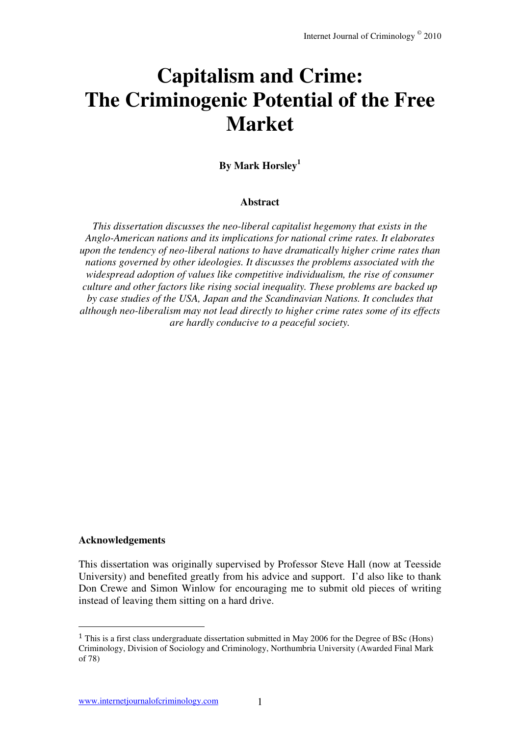# **Capitalism and Crime: The Criminogenic Potential of the Free Market**

**By Mark Horsley<sup>1</sup>**

#### **Abstract**

*This dissertation discusses the neo-liberal capitalist hegemony that exists in the Anglo-American nations and its implications for national crime rates. It elaborates upon the tendency of neo-liberal nations to have dramatically higher crime rates than nations governed by other ideologies. It discusses the problems associated with the widespread adoption of values like competitive individualism, the rise of consumer culture and other factors like rising social inequality. These problems are backed up by case studies of the USA, Japan and the Scandinavian Nations. It concludes that although neo-liberalism may not lead directly to higher crime rates some of its effects are hardly conducive to a peaceful society.* 

#### **Acknowledgements**

l

This dissertation was originally supervised by Professor Steve Hall (now at Teesside University) and benefited greatly from his advice and support. I'd also like to thank Don Crewe and Simon Winlow for encouraging me to submit old pieces of writing instead of leaving them sitting on a hard drive.

<sup>1</sup> This is a first class undergraduate dissertation submitted in May 2006 for the Degree of BSc (Hons) Criminology, Division of Sociology and Criminology, Northumbria University (Awarded Final Mark of 78)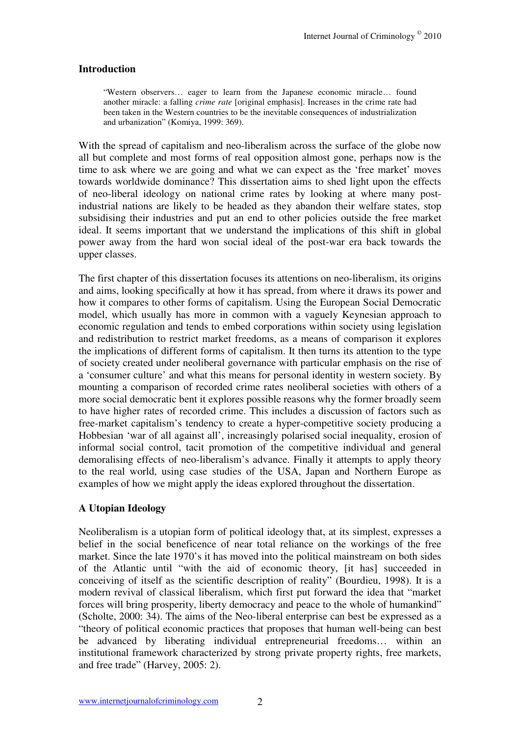# **Introduction**

"Western observers… eager to learn from the Japanese economic miracle… found another miracle: a falling *crime rate* [original emphasis]. Increases in the crime rate had been taken in the Western countries to be the inevitable consequences of industrialization and urbanization" (Komiya, 1999: 369).

With the spread of capitalism and neo-liberalism across the surface of the globe now all but complete and most forms of real opposition almost gone, perhaps now is the time to ask where we are going and what we can expect as the 'free market' moves towards worldwide dominance? This dissertation aims to shed light upon the effects of neo-liberal ideology on national crime rates by looking at where many postindustrial nations are likely to be headed as they abandon their welfare states, stop subsidising their industries and put an end to other policies outside the free market ideal. It seems important that we understand the implications of this shift in global power away from the hard won social ideal of the post-war era back towards the upper classes.

The first chapter of this dissertation focuses its attentions on neo-liberalism, its origins and aims, looking specifically at how it has spread, from where it draws its power and how it compares to other forms of capitalism. Using the European Social Democratic model, which usually has more in common with a vaguely Keynesian approach to economic regulation and tends to embed corporations within society using legislation and redistribution to restrict market freedoms, as a means of comparison it explores the implications of different forms of capitalism. It then turns its attention to the type of society created under neoliberal governance with particular emphasis on the rise of a 'consumer culture' and what this means for personal identity in western society. By mounting a comparison of recorded crime rates neoliberal societies with others of a more social democratic bent it explores possible reasons why the former broadly seem to have higher rates of recorded crime. This includes a discussion of factors such as free-market capitalism's tendency to create a hyper-competitive society producing a Hobbesian 'war of all against all', increasingly polarised social inequality, erosion of informal social control, tacit promotion of the competitive individual and general demoralising effects of neo-liberalism's advance. Finally it attempts to apply theory to the real world, using case studies of the USA, Japan and Northern Europe as examples of how we might apply the ideas explored throughout the dissertation.

# **A Utopian Ideology**

Neoliberalism is a utopian form of political ideology that, at its simplest, expresses a belief in the social beneficence of near total reliance on the workings of the free market. Since the late 1970's it has moved into the political mainstream on both sides of the Atlantic until "with the aid of economic theory, [it has] succeeded in conceiving of itself as the scientific description of reality" (Bourdieu, 1998). It is a modern revival of classical liberalism, which first put forward the idea that "market forces will bring prosperity, liberty democracy and peace to the whole of humankind" (Scholte, 2000: 34). The aims of the Neo-liberal enterprise can best be expressed as a "theory of political economic practices that proposes that human well-being can best be advanced by liberating individual entrepreneurial freedoms… within an institutional framework characterized by strong private property rights, free markets, and free trade" (Harvey, 2005: 2).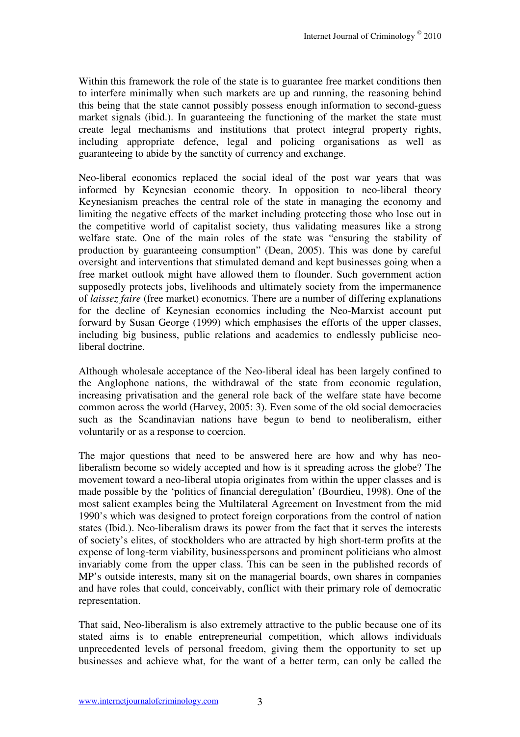Within this framework the role of the state is to guarantee free market conditions then to interfere minimally when such markets are up and running, the reasoning behind this being that the state cannot possibly possess enough information to second-guess market signals (ibid.). In guaranteeing the functioning of the market the state must create legal mechanisms and institutions that protect integral property rights, including appropriate defence, legal and policing organisations as well as guaranteeing to abide by the sanctity of currency and exchange.

Neo-liberal economics replaced the social ideal of the post war years that was informed by Keynesian economic theory. In opposition to neo-liberal theory Keynesianism preaches the central role of the state in managing the economy and limiting the negative effects of the market including protecting those who lose out in the competitive world of capitalist society, thus validating measures like a strong welfare state. One of the main roles of the state was "ensuring the stability of production by guaranteeing consumption" (Dean, 2005). This was done by careful oversight and interventions that stimulated demand and kept businesses going when a free market outlook might have allowed them to flounder. Such government action supposedly protects jobs, livelihoods and ultimately society from the impermanence of *laissez faire* (free market) economics. There are a number of differing explanations for the decline of Keynesian economics including the Neo-Marxist account put forward by Susan George (1999) which emphasises the efforts of the upper classes, including big business, public relations and academics to endlessly publicise neoliberal doctrine.

Although wholesale acceptance of the Neo-liberal ideal has been largely confined to the Anglophone nations, the withdrawal of the state from economic regulation, increasing privatisation and the general role back of the welfare state have become common across the world (Harvey, 2005: 3). Even some of the old social democracies such as the Scandinavian nations have begun to bend to neoliberalism, either voluntarily or as a response to coercion.

The major questions that need to be answered here are how and why has neoliberalism become so widely accepted and how is it spreading across the globe? The movement toward a neo-liberal utopia originates from within the upper classes and is made possible by the 'politics of financial deregulation' (Bourdieu, 1998). One of the most salient examples being the Multilateral Agreement on Investment from the mid 1990's which was designed to protect foreign corporations from the control of nation states (Ibid.). Neo-liberalism draws its power from the fact that it serves the interests of society's elites, of stockholders who are attracted by high short-term profits at the expense of long-term viability, businesspersons and prominent politicians who almost invariably come from the upper class. This can be seen in the published records of MP's outside interests, many sit on the managerial boards, own shares in companies and have roles that could, conceivably, conflict with their primary role of democratic representation.

That said, Neo-liberalism is also extremely attractive to the public because one of its stated aims is to enable entrepreneurial competition, which allows individuals unprecedented levels of personal freedom, giving them the opportunity to set up businesses and achieve what, for the want of a better term, can only be called the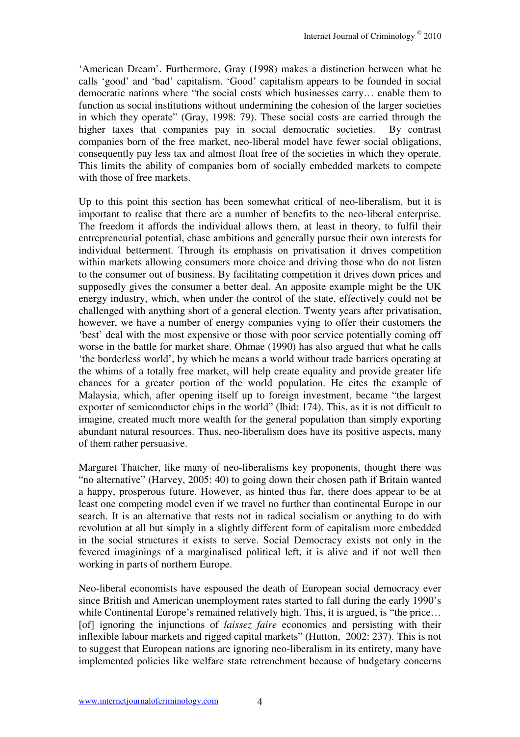'American Dream'. Furthermore, Gray (1998) makes a distinction between what he calls 'good' and 'bad' capitalism. 'Good' capitalism appears to be founded in social democratic nations where "the social costs which businesses carry… enable them to function as social institutions without undermining the cohesion of the larger societies in which they operate" (Gray, 1998: 79). These social costs are carried through the higher taxes that companies pay in social democratic societies. By contrast companies born of the free market, neo-liberal model have fewer social obligations, consequently pay less tax and almost float free of the societies in which they operate. This limits the ability of companies born of socially embedded markets to compete with those of free markets.

Up to this point this section has been somewhat critical of neo-liberalism, but it is important to realise that there are a number of benefits to the neo-liberal enterprise. The freedom it affords the individual allows them, at least in theory, to fulfil their entrepreneurial potential, chase ambitions and generally pursue their own interests for individual betterment. Through its emphasis on privatisation it drives competition within markets allowing consumers more choice and driving those who do not listen to the consumer out of business. By facilitating competition it drives down prices and supposedly gives the consumer a better deal. An apposite example might be the UK energy industry, which, when under the control of the state, effectively could not be challenged with anything short of a general election. Twenty years after privatisation, however, we have a number of energy companies vying to offer their customers the 'best' deal with the most expensive or those with poor service potentially coming off worse in the battle for market share. Ohmae (1990) has also argued that what he calls 'the borderless world', by which he means a world without trade barriers operating at the whims of a totally free market, will help create equality and provide greater life chances for a greater portion of the world population. He cites the example of Malaysia, which, after opening itself up to foreign investment, became "the largest exporter of semiconductor chips in the world" (Ibid: 174). This, as it is not difficult to imagine, created much more wealth for the general population than simply exporting abundant natural resources. Thus, neo-liberalism does have its positive aspects, many of them rather persuasive.

Margaret Thatcher, like many of neo-liberalisms key proponents, thought there was "no alternative" (Harvey, 2005: 40) to going down their chosen path if Britain wanted a happy, prosperous future. However, as hinted thus far, there does appear to be at least one competing model even if we travel no further than continental Europe in our search. It is an alternative that rests not in radical socialism or anything to do with revolution at all but simply in a slightly different form of capitalism more embedded in the social structures it exists to serve. Social Democracy exists not only in the fevered imaginings of a marginalised political left, it is alive and if not well then working in parts of northern Europe.

Neo-liberal economists have espoused the death of European social democracy ever since British and American unemployment rates started to fall during the early 1990's while Continental Europe's remained relatively high. This, it is argued, is "the price... [of] ignoring the injunctions of *laissez faire* economics and persisting with their inflexible labour markets and rigged capital markets" (Hutton, 2002: 237). This is not to suggest that European nations are ignoring neo-liberalism in its entirety, many have implemented policies like welfare state retrenchment because of budgetary concerns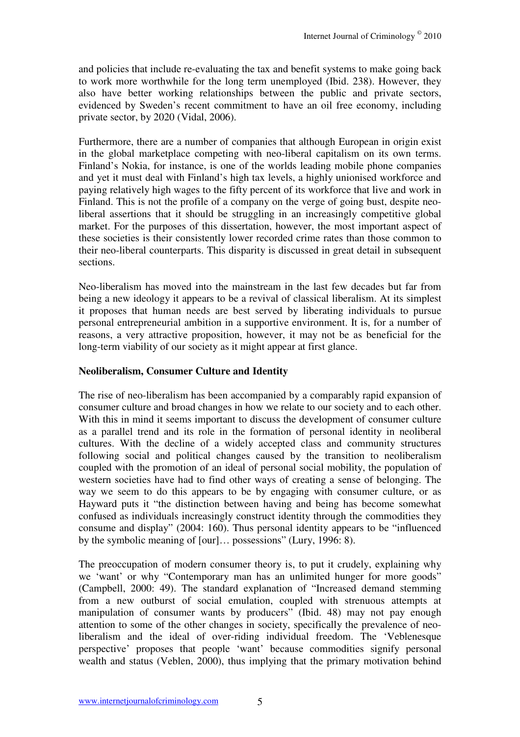and policies that include re-evaluating the tax and benefit systems to make going back to work more worthwhile for the long term unemployed (Ibid. 238). However, they also have better working relationships between the public and private sectors, evidenced by Sweden's recent commitment to have an oil free economy, including private sector, by 2020 (Vidal, 2006).

Furthermore, there are a number of companies that although European in origin exist in the global marketplace competing with neo-liberal capitalism on its own terms. Finland's Nokia, for instance, is one of the worlds leading mobile phone companies and yet it must deal with Finland's high tax levels, a highly unionised workforce and paying relatively high wages to the fifty percent of its workforce that live and work in Finland. This is not the profile of a company on the verge of going bust, despite neoliberal assertions that it should be struggling in an increasingly competitive global market. For the purposes of this dissertation, however, the most important aspect of these societies is their consistently lower recorded crime rates than those common to their neo-liberal counterparts. This disparity is discussed in great detail in subsequent sections.

Neo-liberalism has moved into the mainstream in the last few decades but far from being a new ideology it appears to be a revival of classical liberalism. At its simplest it proposes that human needs are best served by liberating individuals to pursue personal entrepreneurial ambition in a supportive environment. It is, for a number of reasons, a very attractive proposition, however, it may not be as beneficial for the long-term viability of our society as it might appear at first glance.

#### **Neoliberalism, Consumer Culture and Identity**

The rise of neo-liberalism has been accompanied by a comparably rapid expansion of consumer culture and broad changes in how we relate to our society and to each other. With this in mind it seems important to discuss the development of consumer culture as a parallel trend and its role in the formation of personal identity in neoliberal cultures. With the decline of a widely accepted class and community structures following social and political changes caused by the transition to neoliberalism coupled with the promotion of an ideal of personal social mobility, the population of western societies have had to find other ways of creating a sense of belonging. The way we seem to do this appears to be by engaging with consumer culture, or as Hayward puts it "the distinction between having and being has become somewhat confused as individuals increasingly construct identity through the commodities they consume and display" (2004: 160). Thus personal identity appears to be "influenced by the symbolic meaning of [our]… possessions" (Lury, 1996: 8).

The preoccupation of modern consumer theory is, to put it crudely, explaining why we 'want' or why "Contemporary man has an unlimited hunger for more goods" (Campbell, 2000: 49). The standard explanation of "Increased demand stemming from a new outburst of social emulation, coupled with strenuous attempts at manipulation of consumer wants by producers" (Ibid. 48) may not pay enough attention to some of the other changes in society, specifically the prevalence of neoliberalism and the ideal of over-riding individual freedom. The 'Veblenesque perspective' proposes that people 'want' because commodities signify personal wealth and status (Veblen, 2000), thus implying that the primary motivation behind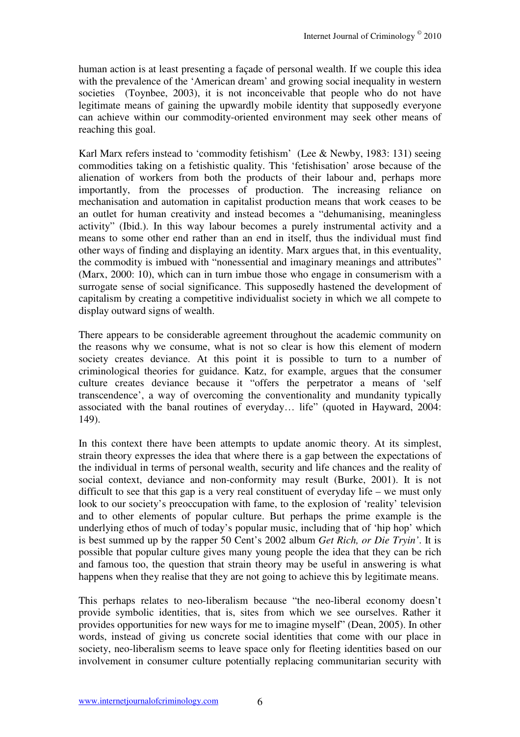human action is at least presenting a façade of personal wealth. If we couple this idea with the prevalence of the 'American dream' and growing social inequality in western societies (Toynbee, 2003), it is not inconceivable that people who do not have legitimate means of gaining the upwardly mobile identity that supposedly everyone can achieve within our commodity-oriented environment may seek other means of reaching this goal.

Karl Marx refers instead to 'commodity fetishism' (Lee & Newby, 1983: 131) seeing commodities taking on a fetishistic quality. This 'fetishisation' arose because of the alienation of workers from both the products of their labour and, perhaps more importantly, from the processes of production. The increasing reliance on mechanisation and automation in capitalist production means that work ceases to be an outlet for human creativity and instead becomes a "dehumanising, meaningless activity" (Ibid.). In this way labour becomes a purely instrumental activity and a means to some other end rather than an end in itself, thus the individual must find other ways of finding and displaying an identity. Marx argues that, in this eventuality, the commodity is imbued with "nonessential and imaginary meanings and attributes" (Marx, 2000: 10), which can in turn imbue those who engage in consumerism with a surrogate sense of social significance. This supposedly hastened the development of capitalism by creating a competitive individualist society in which we all compete to display outward signs of wealth.

There appears to be considerable agreement throughout the academic community on the reasons why we consume, what is not so clear is how this element of modern society creates deviance. At this point it is possible to turn to a number of criminological theories for guidance. Katz, for example, argues that the consumer culture creates deviance because it "offers the perpetrator a means of 'self transcendence', a way of overcoming the conventionality and mundanity typically associated with the banal routines of everyday… life" (quoted in Hayward, 2004: 149).

In this context there have been attempts to update anomic theory. At its simplest, strain theory expresses the idea that where there is a gap between the expectations of the individual in terms of personal wealth, security and life chances and the reality of social context, deviance and non-conformity may result (Burke, 2001). It is not difficult to see that this gap is a very real constituent of everyday life – we must only look to our society's preoccupation with fame, to the explosion of 'reality' television and to other elements of popular culture. But perhaps the prime example is the underlying ethos of much of today's popular music, including that of 'hip hop' which is best summed up by the rapper 50 Cent's 2002 album *Get Rich, or Die Tryin'*. It is possible that popular culture gives many young people the idea that they can be rich and famous too, the question that strain theory may be useful in answering is what happens when they realise that they are not going to achieve this by legitimate means.

This perhaps relates to neo-liberalism because "the neo-liberal economy doesn't provide symbolic identities, that is, sites from which we see ourselves. Rather it provides opportunities for new ways for me to imagine myself" (Dean, 2005). In other words, instead of giving us concrete social identities that come with our place in society, neo-liberalism seems to leave space only for fleeting identities based on our involvement in consumer culture potentially replacing communitarian security with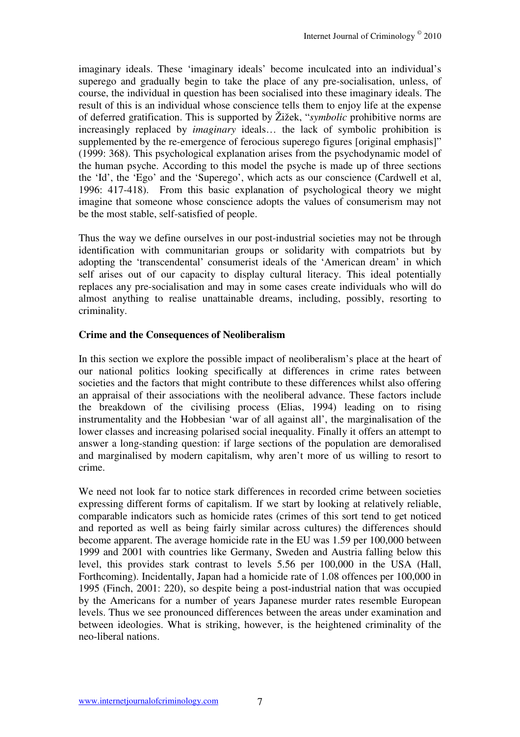imaginary ideals. These 'imaginary ideals' become inculcated into an individual's superego and gradually begin to take the place of any pre-socialisation, unless, of course, the individual in question has been socialised into these imaginary ideals. The result of this is an individual whose conscience tells them to enjoy life at the expense of deferred gratification. This is supported by Žižek, "*symbolic* prohibitive norms are increasingly replaced by *imaginary* ideals… the lack of symbolic prohibition is supplemented by the re-emergence of ferocious superego figures [original emphasis]" (1999: 368). This psychological explanation arises from the psychodynamic model of the human psyche. According to this model the psyche is made up of three sections the 'Id', the 'Ego' and the 'Superego', which acts as our conscience (Cardwell et al, 1996: 417-418). From this basic explanation of psychological theory we might imagine that someone whose conscience adopts the values of consumerism may not be the most stable, self-satisfied of people.

Thus the way we define ourselves in our post-industrial societies may not be through identification with communitarian groups or solidarity with compatriots but by adopting the 'transcendental' consumerist ideals of the 'American dream' in which self arises out of our capacity to display cultural literacy. This ideal potentially replaces any pre-socialisation and may in some cases create individuals who will do almost anything to realise unattainable dreams, including, possibly, resorting to criminality.

#### **Crime and the Consequences of Neoliberalism**

In this section we explore the possible impact of neoliberalism's place at the heart of our national politics looking specifically at differences in crime rates between societies and the factors that might contribute to these differences whilst also offering an appraisal of their associations with the neoliberal advance. These factors include the breakdown of the civilising process (Elias, 1994) leading on to rising instrumentality and the Hobbesian 'war of all against all', the marginalisation of the lower classes and increasing polarised social inequality. Finally it offers an attempt to answer a long-standing question: if large sections of the population are demoralised and marginalised by modern capitalism, why aren't more of us willing to resort to crime.

We need not look far to notice stark differences in recorded crime between societies expressing different forms of capitalism. If we start by looking at relatively reliable, comparable indicators such as homicide rates (crimes of this sort tend to get noticed and reported as well as being fairly similar across cultures) the differences should become apparent. The average homicide rate in the EU was 1.59 per 100,000 between 1999 and 2001 with countries like Germany, Sweden and Austria falling below this level, this provides stark contrast to levels 5.56 per 100,000 in the USA (Hall, Forthcoming). Incidentally, Japan had a homicide rate of 1.08 offences per 100,000 in 1995 (Finch, 2001: 220), so despite being a post-industrial nation that was occupied by the Americans for a number of years Japanese murder rates resemble European levels. Thus we see pronounced differences between the areas under examination and between ideologies. What is striking, however, is the heightened criminality of the neo-liberal nations.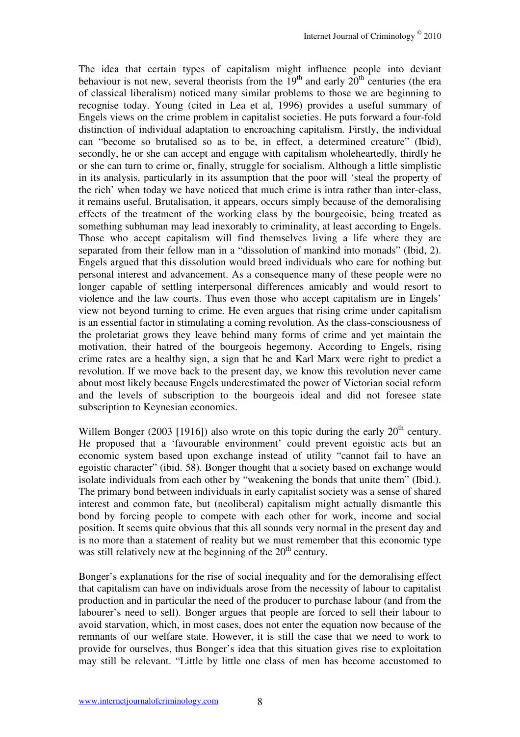The idea that certain types of capitalism might influence people into deviant behaviour is not new, several theorists from the  $19<sup>th</sup>$  and early  $20<sup>th</sup>$  centuries (the era of classical liberalism) noticed many similar problems to those we are beginning to recognise today. Young (cited in Lea et al, 1996) provides a useful summary of Engels views on the crime problem in capitalist societies. He puts forward a four-fold distinction of individual adaptation to encroaching capitalism. Firstly, the individual can "become so brutalised so as to be, in effect, a determined creature" (Ibid), secondly, he or she can accept and engage with capitalism wholeheartedly, thirdly he or she can turn to crime or, finally, struggle for socialism. Although a little simplistic in its analysis, particularly in its assumption that the poor will 'steal the property of the rich' when today we have noticed that much crime is intra rather than inter-class, it remains useful. Brutalisation, it appears, occurs simply because of the demoralising effects of the treatment of the working class by the bourgeoisie, being treated as something subhuman may lead inexorably to criminality, at least according to Engels. Those who accept capitalism will find themselves living a life where they are separated from their fellow man in a "dissolution of mankind into monads" (Ibid, 2). Engels argued that this dissolution would breed individuals who care for nothing but personal interest and advancement. As a consequence many of these people were no longer capable of settling interpersonal differences amicably and would resort to violence and the law courts. Thus even those who accept capitalism are in Engels' view not beyond turning to crime. He even argues that rising crime under capitalism is an essential factor in stimulating a coming revolution. As the class-consciousness of the proletariat grows they leave behind many forms of crime and yet maintain the motivation, their hatred of the bourgeois hegemony. According to Engels, rising crime rates are a healthy sign, a sign that he and Karl Marx were right to predict a revolution. If we move back to the present day, we know this revolution never came about most likely because Engels underestimated the power of Victorian social reform and the levels of subscription to the bourgeois ideal and did not foresee state subscription to Keynesian economics.

Willem Bonger (2003 [1916]) also wrote on this topic during the early  $20<sup>th</sup>$  century. He proposed that a 'favourable environment' could prevent egoistic acts but an economic system based upon exchange instead of utility "cannot fail to have an egoistic character" (ibid. 58). Bonger thought that a society based on exchange would isolate individuals from each other by "weakening the bonds that unite them" (Ibid.). The primary bond between individuals in early capitalist society was a sense of shared interest and common fate, but (neoliberal) capitalism might actually dismantle this bond by forcing people to compete with each other for work, income and social position. It seems quite obvious that this all sounds very normal in the present day and is no more than a statement of reality but we must remember that this economic type was still relatively new at the beginning of the  $20<sup>th</sup>$  century.

Bonger's explanations for the rise of social inequality and for the demoralising effect that capitalism can have on individuals arose from the necessity of labour to capitalist production and in particular the need of the producer to purchase labour (and from the labourer's need to sell). Bonger argues that people are forced to sell their labour to avoid starvation, which, in most cases, does not enter the equation now because of the remnants of our welfare state. However, it is still the case that we need to work to provide for ourselves, thus Bonger's idea that this situation gives rise to exploitation may still be relevant. "Little by little one class of men has become accustomed to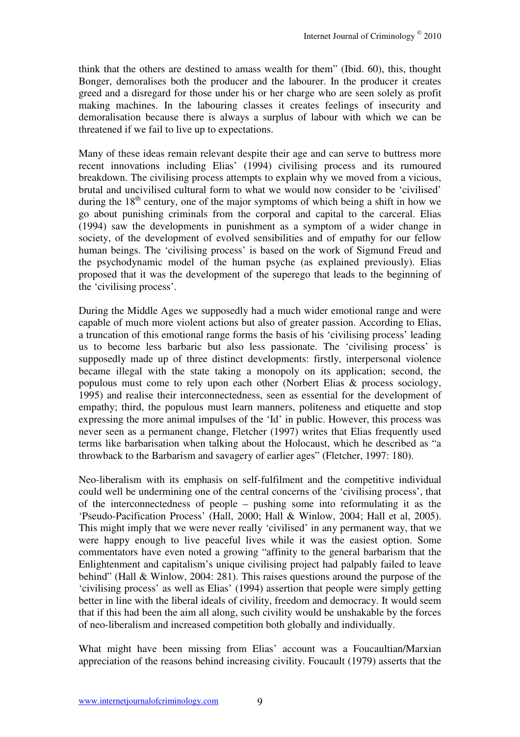think that the others are destined to amass wealth for them" (Ibid. 60), this, thought Bonger, demoralises both the producer and the labourer. In the producer it creates greed and a disregard for those under his or her charge who are seen solely as profit making machines. In the labouring classes it creates feelings of insecurity and demoralisation because there is always a surplus of labour with which we can be threatened if we fail to live up to expectations.

Many of these ideas remain relevant despite their age and can serve to buttress more recent innovations including Elias' (1994) civilising process and its rumoured breakdown. The civilising process attempts to explain why we moved from a vicious, brutal and uncivilised cultural form to what we would now consider to be 'civilised' during the  $18<sup>th</sup>$  century, one of the major symptoms of which being a shift in how we go about punishing criminals from the corporal and capital to the carceral. Elias (1994) saw the developments in punishment as a symptom of a wider change in society, of the development of evolved sensibilities and of empathy for our fellow human beings. The 'civilising process' is based on the work of Sigmund Freud and the psychodynamic model of the human psyche (as explained previously). Elias proposed that it was the development of the superego that leads to the beginning of the 'civilising process'.

During the Middle Ages we supposedly had a much wider emotional range and were capable of much more violent actions but also of greater passion. According to Elias, a truncation of this emotional range forms the basis of his 'civilising process' leading us to become less barbaric but also less passionate. The 'civilising process' is supposedly made up of three distinct developments: firstly, interpersonal violence became illegal with the state taking a monopoly on its application; second, the populous must come to rely upon each other (Norbert Elias & process sociology, 1995) and realise their interconnectedness, seen as essential for the development of empathy; third, the populous must learn manners, politeness and etiquette and stop expressing the more animal impulses of the 'Id' in public. However, this process was never seen as a permanent change, Fletcher (1997) writes that Elias frequently used terms like barbarisation when talking about the Holocaust, which he described as "a throwback to the Barbarism and savagery of earlier ages" (Fletcher, 1997: 180).

Neo-liberalism with its emphasis on self-fulfilment and the competitive individual could well be undermining one of the central concerns of the 'civilising process', that of the interconnectedness of people – pushing some into reformulating it as the 'Pseudo-Pacification Process' (Hall, 2000; Hall & Winlow, 2004; Hall et al, 2005). This might imply that we were never really 'civilised' in any permanent way, that we were happy enough to live peaceful lives while it was the easiest option. Some commentators have even noted a growing "affinity to the general barbarism that the Enlightenment and capitalism's unique civilising project had palpably failed to leave behind" (Hall & Winlow, 2004: 281). This raises questions around the purpose of the 'civilising process' as well as Elias' (1994) assertion that people were simply getting better in line with the liberal ideals of civility, freedom and democracy. It would seem that if this had been the aim all along, such civility would be unshakable by the forces of neo-liberalism and increased competition both globally and individually.

What might have been missing from Elias' account was a Foucaultian/Marxian appreciation of the reasons behind increasing civility. Foucault (1979) asserts that the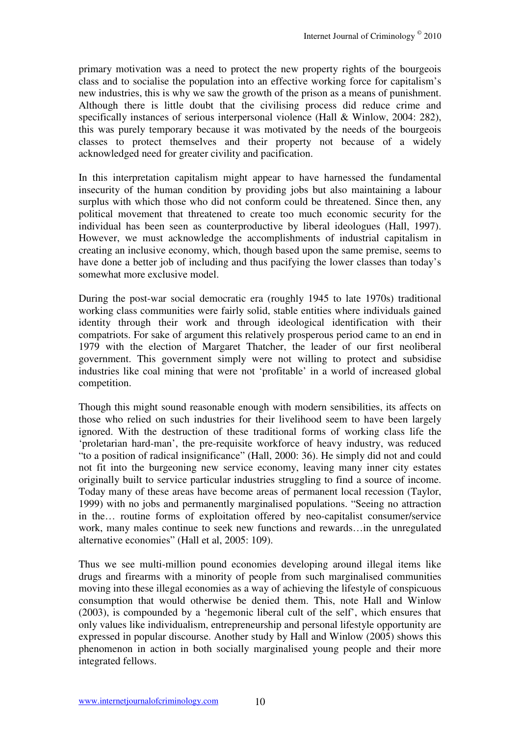primary motivation was a need to protect the new property rights of the bourgeois class and to socialise the population into an effective working force for capitalism's new industries, this is why we saw the growth of the prison as a means of punishment. Although there is little doubt that the civilising process did reduce crime and specifically instances of serious interpersonal violence (Hall & Winlow, 2004: 282), this was purely temporary because it was motivated by the needs of the bourgeois classes to protect themselves and their property not because of a widely acknowledged need for greater civility and pacification.

In this interpretation capitalism might appear to have harnessed the fundamental insecurity of the human condition by providing jobs but also maintaining a labour surplus with which those who did not conform could be threatened. Since then, any political movement that threatened to create too much economic security for the individual has been seen as counterproductive by liberal ideologues (Hall, 1997). However, we must acknowledge the accomplishments of industrial capitalism in creating an inclusive economy, which, though based upon the same premise, seems to have done a better job of including and thus pacifying the lower classes than today's somewhat more exclusive model.

During the post-war social democratic era (roughly 1945 to late 1970s) traditional working class communities were fairly solid, stable entities where individuals gained identity through their work and through ideological identification with their compatriots. For sake of argument this relatively prosperous period came to an end in 1979 with the election of Margaret Thatcher, the leader of our first neoliberal government. This government simply were not willing to protect and subsidise industries like coal mining that were not 'profitable' in a world of increased global competition.

Though this might sound reasonable enough with modern sensibilities, its affects on those who relied on such industries for their livelihood seem to have been largely ignored. With the destruction of these traditional forms of working class life the 'proletarian hard-man', the pre-requisite workforce of heavy industry, was reduced "to a position of radical insignificance" (Hall, 2000: 36). He simply did not and could not fit into the burgeoning new service economy, leaving many inner city estates originally built to service particular industries struggling to find a source of income. Today many of these areas have become areas of permanent local recession (Taylor, 1999) with no jobs and permanently marginalised populations. "Seeing no attraction in the… routine forms of exploitation offered by neo-capitalist consumer/service work, many males continue to seek new functions and rewards…in the unregulated alternative economies" (Hall et al, 2005: 109).

Thus we see multi-million pound economies developing around illegal items like drugs and firearms with a minority of people from such marginalised communities moving into these illegal economies as a way of achieving the lifestyle of conspicuous consumption that would otherwise be denied them. This, note Hall and Winlow (2003), is compounded by a 'hegemonic liberal cult of the self', which ensures that only values like individualism, entrepreneurship and personal lifestyle opportunity are expressed in popular discourse. Another study by Hall and Winlow (2005) shows this phenomenon in action in both socially marginalised young people and their more integrated fellows.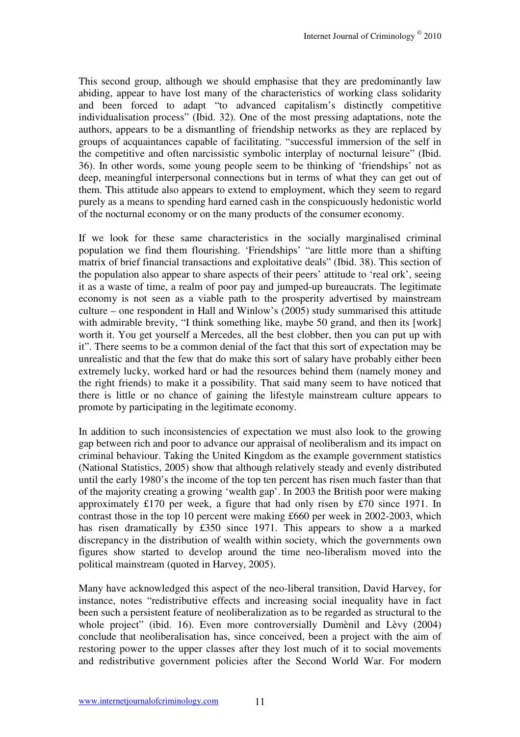This second group, although we should emphasise that they are predominantly law abiding, appear to have lost many of the characteristics of working class solidarity and been forced to adapt "to advanced capitalism's distinctly competitive individualisation process" (Ibid. 32). One of the most pressing adaptations, note the authors, appears to be a dismantling of friendship networks as they are replaced by groups of acquaintances capable of facilitating. "successful immersion of the self in the competitive and often narcissistic symbolic interplay of nocturnal leisure" (Ibid. 36). In other words, some young people seem to be thinking of 'friendships' not as deep, meaningful interpersonal connections but in terms of what they can get out of them. This attitude also appears to extend to employment, which they seem to regard purely as a means to spending hard earned cash in the conspicuously hedonistic world of the nocturnal economy or on the many products of the consumer economy.

If we look for these same characteristics in the socially marginalised criminal population we find them flourishing. 'Friendships' "are little more than a shifting matrix of brief financial transactions and exploitative deals" (Ibid. 38). This section of the population also appear to share aspects of their peers' attitude to 'real ork', seeing it as a waste of time, a realm of poor pay and jumped-up bureaucrats. The legitimate economy is not seen as a viable path to the prosperity advertised by mainstream culture – one respondent in Hall and Winlow's (2005) study summarised this attitude with admirable brevity, "I think something like, maybe 50 grand, and then its [work] worth it. You get yourself a Mercedes, all the best clobber, then you can put up with it". There seems to be a common denial of the fact that this sort of expectation may be unrealistic and that the few that do make this sort of salary have probably either been extremely lucky, worked hard or had the resources behind them (namely money and the right friends) to make it a possibility. That said many seem to have noticed that there is little or no chance of gaining the lifestyle mainstream culture appears to promote by participating in the legitimate economy.

In addition to such inconsistencies of expectation we must also look to the growing gap between rich and poor to advance our appraisal of neoliberalism and its impact on criminal behaviour. Taking the United Kingdom as the example government statistics (National Statistics, 2005) show that although relatively steady and evenly distributed until the early 1980's the income of the top ten percent has risen much faster than that of the majority creating a growing 'wealth gap'. In 2003 the British poor were making approximately £170 per week, a figure that had only risen by £70 since 1971. In contrast those in the top 10 percent were making £660 per week in 2002-2003, which has risen dramatically by £350 since 1971. This appears to show a a marked discrepancy in the distribution of wealth within society, which the governments own figures show started to develop around the time neo-liberalism moved into the political mainstream (quoted in Harvey, 2005).

Many have acknowledged this aspect of the neo-liberal transition, David Harvey, for instance, notes "redistributive effects and increasing social inequality have in fact been such a persistent feature of neoliberalization as to be regarded as structural to the whole project" (ibid. 16). Even more controversially Dumènil and Lèvy (2004) conclude that neoliberalisation has, since conceived, been a project with the aim of restoring power to the upper classes after they lost much of it to social movements and redistributive government policies after the Second World War. For modern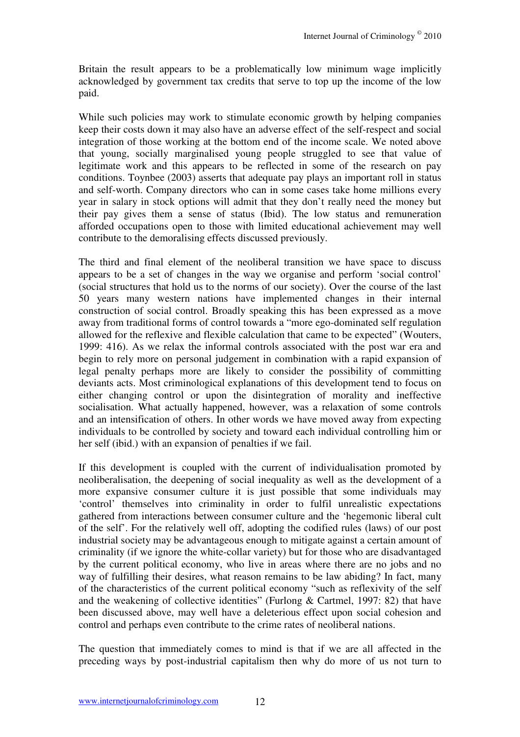Britain the result appears to be a problematically low minimum wage implicitly acknowledged by government tax credits that serve to top up the income of the low paid.

While such policies may work to stimulate economic growth by helping companies keep their costs down it may also have an adverse effect of the self-respect and social integration of those working at the bottom end of the income scale. We noted above that young, socially marginalised young people struggled to see that value of legitimate work and this appears to be reflected in some of the research on pay conditions. Toynbee (2003) asserts that adequate pay plays an important roll in status and self-worth. Company directors who can in some cases take home millions every year in salary in stock options will admit that they don't really need the money but their pay gives them a sense of status (Ibid). The low status and remuneration afforded occupations open to those with limited educational achievement may well contribute to the demoralising effects discussed previously.

The third and final element of the neoliberal transition we have space to discuss appears to be a set of changes in the way we organise and perform 'social control' (social structures that hold us to the norms of our society). Over the course of the last 50 years many western nations have implemented changes in their internal construction of social control. Broadly speaking this has been expressed as a move away from traditional forms of control towards a "more ego-dominated self regulation allowed for the reflexive and flexible calculation that came to be expected" (Wouters, 1999: 416). As we relax the informal controls associated with the post war era and begin to rely more on personal judgement in combination with a rapid expansion of legal penalty perhaps more are likely to consider the possibility of committing deviants acts. Most criminological explanations of this development tend to focus on either changing control or upon the disintegration of morality and ineffective socialisation. What actually happened, however, was a relaxation of some controls and an intensification of others. In other words we have moved away from expecting individuals to be controlled by society and toward each individual controlling him or her self (ibid.) with an expansion of penalties if we fail.

If this development is coupled with the current of individualisation promoted by neoliberalisation, the deepening of social inequality as well as the development of a more expansive consumer culture it is just possible that some individuals may 'control' themselves into criminality in order to fulfil unrealistic expectations gathered from interactions between consumer culture and the 'hegemonic liberal cult of the self'. For the relatively well off, adopting the codified rules (laws) of our post industrial society may be advantageous enough to mitigate against a certain amount of criminality (if we ignore the white-collar variety) but for those who are disadvantaged by the current political economy, who live in areas where there are no jobs and no way of fulfilling their desires, what reason remains to be law abiding? In fact, many of the characteristics of the current political economy "such as reflexivity of the self and the weakening of collective identities" (Furlong & Cartmel, 1997: 82) that have been discussed above, may well have a deleterious effect upon social cohesion and control and perhaps even contribute to the crime rates of neoliberal nations.

The question that immediately comes to mind is that if we are all affected in the preceding ways by post-industrial capitalism then why do more of us not turn to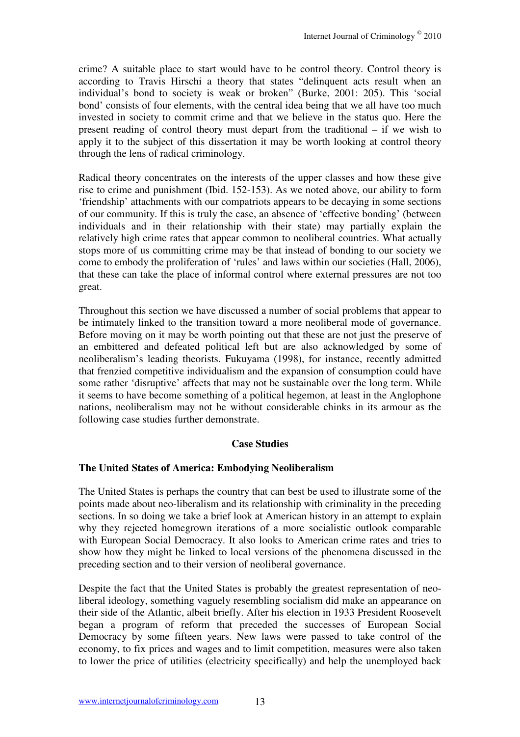crime? A suitable place to start would have to be control theory. Control theory is according to Travis Hirschi a theory that states "delinquent acts result when an individual's bond to society is weak or broken" (Burke, 2001: 205). This 'social bond' consists of four elements, with the central idea being that we all have too much invested in society to commit crime and that we believe in the status quo. Here the present reading of control theory must depart from the traditional – if we wish to apply it to the subject of this dissertation it may be worth looking at control theory through the lens of radical criminology.

Radical theory concentrates on the interests of the upper classes and how these give rise to crime and punishment (Ibid. 152-153). As we noted above, our ability to form 'friendship' attachments with our compatriots appears to be decaying in some sections of our community. If this is truly the case, an absence of 'effective bonding' (between individuals and in their relationship with their state) may partially explain the relatively high crime rates that appear common to neoliberal countries. What actually stops more of us committing crime may be that instead of bonding to our society we come to embody the proliferation of 'rules' and laws within our societies (Hall, 2006), that these can take the place of informal control where external pressures are not too great.

Throughout this section we have discussed a number of social problems that appear to be intimately linked to the transition toward a more neoliberal mode of governance. Before moving on it may be worth pointing out that these are not just the preserve of an embittered and defeated political left but are also acknowledged by some of neoliberalism's leading theorists. Fukuyama (1998), for instance, recently admitted that frenzied competitive individualism and the expansion of consumption could have some rather 'disruptive' affects that may not be sustainable over the long term. While it seems to have become something of a political hegemon, at least in the Anglophone nations, neoliberalism may not be without considerable chinks in its armour as the following case studies further demonstrate.

# **Case Studies**

# **The United States of America: Embodying Neoliberalism**

The United States is perhaps the country that can best be used to illustrate some of the points made about neo-liberalism and its relationship with criminality in the preceding sections. In so doing we take a brief look at American history in an attempt to explain why they rejected homegrown iterations of a more socialistic outlook comparable with European Social Democracy. It also looks to American crime rates and tries to show how they might be linked to local versions of the phenomena discussed in the preceding section and to their version of neoliberal governance.

Despite the fact that the United States is probably the greatest representation of neoliberal ideology, something vaguely resembling socialism did make an appearance on their side of the Atlantic, albeit briefly. After his election in 1933 President Roosevelt began a program of reform that preceded the successes of European Social Democracy by some fifteen years. New laws were passed to take control of the economy, to fix prices and wages and to limit competition, measures were also taken to lower the price of utilities (electricity specifically) and help the unemployed back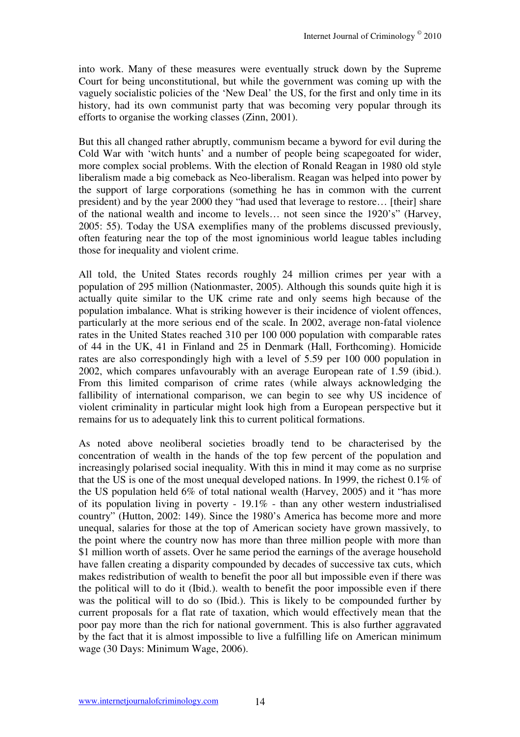into work. Many of these measures were eventually struck down by the Supreme Court for being unconstitutional, but while the government was coming up with the vaguely socialistic policies of the 'New Deal' the US, for the first and only time in its history, had its own communist party that was becoming very popular through its efforts to organise the working classes (Zinn, 2001).

But this all changed rather abruptly, communism became a byword for evil during the Cold War with 'witch hunts' and a number of people being scapegoated for wider, more complex social problems. With the election of Ronald Reagan in 1980 old style liberalism made a big comeback as Neo-liberalism. Reagan was helped into power by the support of large corporations (something he has in common with the current president) and by the year 2000 they "had used that leverage to restore… [their] share of the national wealth and income to levels… not seen since the 1920's" (Harvey, 2005: 55). Today the USA exemplifies many of the problems discussed previously, often featuring near the top of the most ignominious world league tables including those for inequality and violent crime.

All told, the United States records roughly 24 million crimes per year with a population of 295 million (Nationmaster, 2005). Although this sounds quite high it is actually quite similar to the UK crime rate and only seems high because of the population imbalance. What is striking however is their incidence of violent offences, particularly at the more serious end of the scale. In 2002, average non-fatal violence rates in the United States reached 310 per 100 000 population with comparable rates of 44 in the UK, 41 in Finland and 25 in Denmark (Hall, Forthcoming). Homicide rates are also correspondingly high with a level of 5.59 per 100 000 population in 2002, which compares unfavourably with an average European rate of 1.59 (ibid.). From this limited comparison of crime rates (while always acknowledging the fallibility of international comparison, we can begin to see why US incidence of violent criminality in particular might look high from a European perspective but it remains for us to adequately link this to current political formations.

As noted above neoliberal societies broadly tend to be characterised by the concentration of wealth in the hands of the top few percent of the population and increasingly polarised social inequality. With this in mind it may come as no surprise that the US is one of the most unequal developed nations. In 1999, the richest 0.1% of the US population held 6% of total national wealth (Harvey, 2005) and it "has more of its population living in poverty - 19.1% - than any other western industrialised country" (Hutton, 2002: 149). Since the 1980's America has become more and more unequal, salaries for those at the top of American society have grown massively, to the point where the country now has more than three million people with more than \$1 million worth of assets. Over he same period the earnings of the average household have fallen creating a disparity compounded by decades of successive tax cuts, which makes redistribution of wealth to benefit the poor all but impossible even if there was the political will to do it (Ibid.). wealth to benefit the poor impossible even if there was the political will to do so (Ibid.). This is likely to be compounded further by current proposals for a flat rate of taxation, which would effectively mean that the poor pay more than the rich for national government. This is also further aggravated by the fact that it is almost impossible to live a fulfilling life on American minimum wage (30 Days: Minimum Wage, 2006).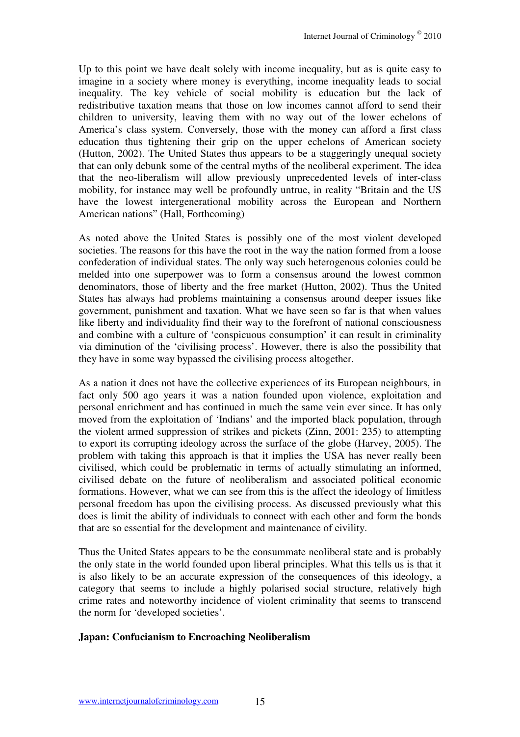Up to this point we have dealt solely with income inequality, but as is quite easy to imagine in a society where money is everything, income inequality leads to social inequality. The key vehicle of social mobility is education but the lack of redistributive taxation means that those on low incomes cannot afford to send their children to university, leaving them with no way out of the lower echelons of America's class system. Conversely, those with the money can afford a first class education thus tightening their grip on the upper echelons of American society (Hutton, 2002). The United States thus appears to be a staggeringly unequal society that can only debunk some of the central myths of the neoliberal experiment. The idea that the neo-liberalism will allow previously unprecedented levels of inter-class mobility, for instance may well be profoundly untrue, in reality "Britain and the US have the lowest intergenerational mobility across the European and Northern American nations" (Hall, Forthcoming)

As noted above the United States is possibly one of the most violent developed societies. The reasons for this have the root in the way the nation formed from a loose confederation of individual states. The only way such heterogenous colonies could be melded into one superpower was to form a consensus around the lowest common denominators, those of liberty and the free market (Hutton, 2002). Thus the United States has always had problems maintaining a consensus around deeper issues like government, punishment and taxation. What we have seen so far is that when values like liberty and individuality find their way to the forefront of national consciousness and combine with a culture of 'conspicuous consumption' it can result in criminality via diminution of the 'civilising process'. However, there is also the possibility that they have in some way bypassed the civilising process altogether.

As a nation it does not have the collective experiences of its European neighbours, in fact only 500 ago years it was a nation founded upon violence, exploitation and personal enrichment and has continued in much the same vein ever since. It has only moved from the exploitation of 'Indians' and the imported black population, through the violent armed suppression of strikes and pickets (Zinn, 2001: 235) to attempting to export its corrupting ideology across the surface of the globe (Harvey, 2005). The problem with taking this approach is that it implies the USA has never really been civilised, which could be problematic in terms of actually stimulating an informed, civilised debate on the future of neoliberalism and associated political economic formations. However, what we can see from this is the affect the ideology of limitless personal freedom has upon the civilising process. As discussed previously what this does is limit the ability of individuals to connect with each other and form the bonds that are so essential for the development and maintenance of civility.

Thus the United States appears to be the consummate neoliberal state and is probably the only state in the world founded upon liberal principles. What this tells us is that it is also likely to be an accurate expression of the consequences of this ideology, a category that seems to include a highly polarised social structure, relatively high crime rates and noteworthy incidence of violent criminality that seems to transcend the norm for 'developed societies'.

#### **Japan: Confucianism to Encroaching Neoliberalism**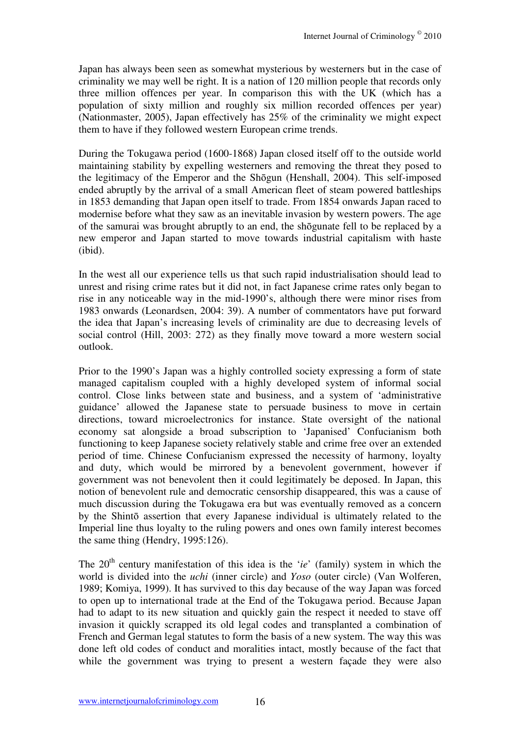Japan has always been seen as somewhat mysterious by westerners but in the case of criminality we may well be right. It is a nation of 120 million people that records only three million offences per year. In comparison this with the UK (which has a population of sixty million and roughly six million recorded offences per year) (Nationmaster, 2005), Japan effectively has 25% of the criminality we might expect them to have if they followed western European crime trends.

During the Tokugawa period (1600-1868) Japan closed itself off to the outside world maintaining stability by expelling westerners and removing the threat they posed to the legitimacy of the Emperor and the Shōgun (Henshall, 2004). This self-imposed ended abruptly by the arrival of a small American fleet of steam powered battleships in 1853 demanding that Japan open itself to trade. From 1854 onwards Japan raced to modernise before what they saw as an inevitable invasion by western powers. The age of the samurai was brought abruptly to an end, the shōgunate fell to be replaced by a new emperor and Japan started to move towards industrial capitalism with haste (ibid).

In the west all our experience tells us that such rapid industrialisation should lead to unrest and rising crime rates but it did not, in fact Japanese crime rates only began to rise in any noticeable way in the mid-1990's, although there were minor rises from 1983 onwards (Leonardsen, 2004: 39). A number of commentators have put forward the idea that Japan's increasing levels of criminality are due to decreasing levels of social control (Hill, 2003: 272) as they finally move toward a more western social outlook.

Prior to the 1990's Japan was a highly controlled society expressing a form of state managed capitalism coupled with a highly developed system of informal social control. Close links between state and business, and a system of 'administrative guidance' allowed the Japanese state to persuade business to move in certain directions, toward microelectronics for instance. State oversight of the national economy sat alongside a broad subscription to 'Japanised' Confucianism both functioning to keep Japanese society relatively stable and crime free over an extended period of time. Chinese Confucianism expressed the necessity of harmony, loyalty and duty, which would be mirrored by a benevolent government, however if government was not benevolent then it could legitimately be deposed. In Japan, this notion of benevolent rule and democratic censorship disappeared, this was a cause of much discussion during the Tokugawa era but was eventually removed as a concern by the Shintō assertion that every Japanese individual is ultimately related to the Imperial line thus loyalty to the ruling powers and ones own family interest becomes the same thing (Hendry, 1995:126).

The 20<sup>th</sup> century manifestation of this idea is the '*ie*' (family) system in which the world is divided into the *uchi* (inner circle) and *Yoso* (outer circle) (Van Wolferen, 1989; Komiya, 1999). It has survived to this day because of the way Japan was forced to open up to international trade at the End of the Tokugawa period. Because Japan had to adapt to its new situation and quickly gain the respect it needed to stave off invasion it quickly scrapped its old legal codes and transplanted a combination of French and German legal statutes to form the basis of a new system. The way this was done left old codes of conduct and moralities intact, mostly because of the fact that while the government was trying to present a western façade they were also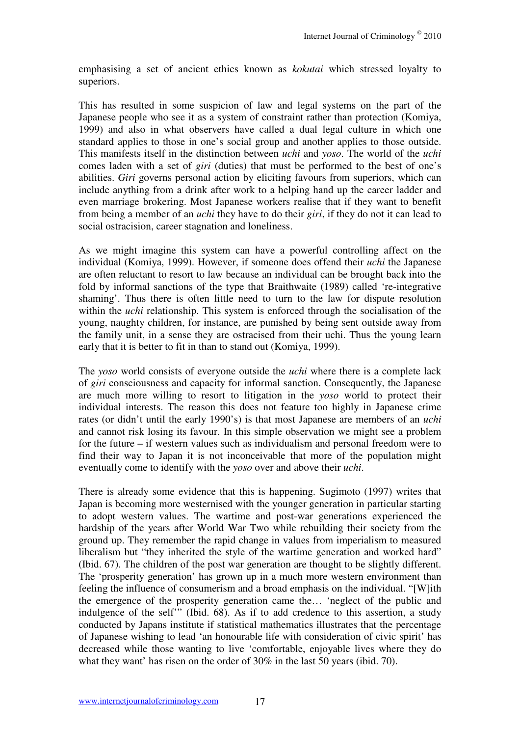emphasising a set of ancient ethics known as *kokutai* which stressed loyalty to superiors.

This has resulted in some suspicion of law and legal systems on the part of the Japanese people who see it as a system of constraint rather than protection (Komiya, 1999) and also in what observers have called a dual legal culture in which one standard applies to those in one's social group and another applies to those outside. This manifests itself in the distinction between *uchi* and *yoso*. The world of the *uchi* comes laden with a set of *giri* (duties) that must be performed to the best of one's abilities. *Giri* governs personal action by eliciting favours from superiors, which can include anything from a drink after work to a helping hand up the career ladder and even marriage brokering. Most Japanese workers realise that if they want to benefit from being a member of an *uchi* they have to do their *giri*, if they do not it can lead to social ostracision, career stagnation and loneliness.

As we might imagine this system can have a powerful controlling affect on the individual (Komiya, 1999). However, if someone does offend their *uchi* the Japanese are often reluctant to resort to law because an individual can be brought back into the fold by informal sanctions of the type that Braithwaite (1989) called 're-integrative shaming'. Thus there is often little need to turn to the law for dispute resolution within the *uchi* relationship. This system is enforced through the socialisation of the young, naughty children, for instance, are punished by being sent outside away from the family unit, in a sense they are ostracised from their uchi. Thus the young learn early that it is better to fit in than to stand out (Komiya, 1999).

The *yoso* world consists of everyone outside the *uchi* where there is a complete lack of *giri* consciousness and capacity for informal sanction. Consequently, the Japanese are much more willing to resort to litigation in the *yoso* world to protect their individual interests. The reason this does not feature too highly in Japanese crime rates (or didn't until the early 1990's) is that most Japanese are members of an *uchi* and cannot risk losing its favour. In this simple observation we might see a problem for the future – if western values such as individualism and personal freedom were to find their way to Japan it is not inconceivable that more of the population might eventually come to identify with the *yoso* over and above their *uchi*.

There is already some evidence that this is happening. Sugimoto (1997) writes that Japan is becoming more westernised with the younger generation in particular starting to adopt western values. The wartime and post-war generations experienced the hardship of the years after World War Two while rebuilding their society from the ground up. They remember the rapid change in values from imperialism to measured liberalism but "they inherited the style of the wartime generation and worked hard" (Ibid. 67). The children of the post war generation are thought to be slightly different. The 'prosperity generation' has grown up in a much more western environment than feeling the influence of consumerism and a broad emphasis on the individual. "[W]ith the emergence of the prosperity generation came the… 'neglect of the public and indulgence of the self'" (Ibid. 68). As if to add credence to this assertion, a study conducted by Japans institute if statistical mathematics illustrates that the percentage of Japanese wishing to lead 'an honourable life with consideration of civic spirit' has decreased while those wanting to live 'comfortable, enjoyable lives where they do what they want' has risen on the order of 30% in the last 50 years (ibid. 70).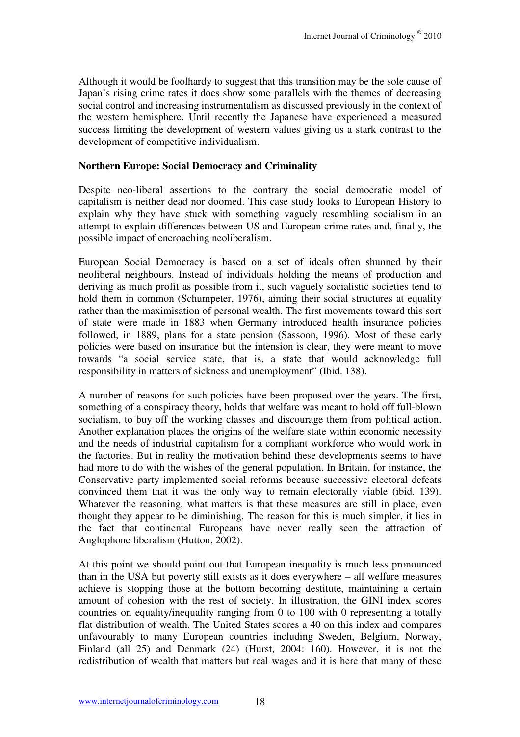Although it would be foolhardy to suggest that this transition may be the sole cause of Japan's rising crime rates it does show some parallels with the themes of decreasing social control and increasing instrumentalism as discussed previously in the context of the western hemisphere. Until recently the Japanese have experienced a measured success limiting the development of western values giving us a stark contrast to the development of competitive individualism.

#### **Northern Europe: Social Democracy and Criminality**

Despite neo-liberal assertions to the contrary the social democratic model of capitalism is neither dead nor doomed. This case study looks to European History to explain why they have stuck with something vaguely resembling socialism in an attempt to explain differences between US and European crime rates and, finally, the possible impact of encroaching neoliberalism.

European Social Democracy is based on a set of ideals often shunned by their neoliberal neighbours. Instead of individuals holding the means of production and deriving as much profit as possible from it, such vaguely socialistic societies tend to hold them in common (Schumpeter, 1976), aiming their social structures at equality rather than the maximisation of personal wealth. The first movements toward this sort of state were made in 1883 when Germany introduced health insurance policies followed, in 1889, plans for a state pension (Sassoon, 1996). Most of these early policies were based on insurance but the intension is clear, they were meant to move towards "a social service state, that is, a state that would acknowledge full responsibility in matters of sickness and unemployment" (Ibid. 138).

A number of reasons for such policies have been proposed over the years. The first, something of a conspiracy theory, holds that welfare was meant to hold off full-blown socialism, to buy off the working classes and discourage them from political action. Another explanation places the origins of the welfare state within economic necessity and the needs of industrial capitalism for a compliant workforce who would work in the factories. But in reality the motivation behind these developments seems to have had more to do with the wishes of the general population. In Britain, for instance, the Conservative party implemented social reforms because successive electoral defeats convinced them that it was the only way to remain electorally viable (ibid. 139). Whatever the reasoning, what matters is that these measures are still in place, even thought they appear to be diminishing. The reason for this is much simpler, it lies in the fact that continental Europeans have never really seen the attraction of Anglophone liberalism (Hutton, 2002).

At this point we should point out that European inequality is much less pronounced than in the USA but poverty still exists as it does everywhere – all welfare measures achieve is stopping those at the bottom becoming destitute, maintaining a certain amount of cohesion with the rest of society. In illustration, the GINI index scores countries on equality/inequality ranging from 0 to 100 with 0 representing a totally flat distribution of wealth. The United States scores a 40 on this index and compares unfavourably to many European countries including Sweden, Belgium, Norway, Finland (all 25) and Denmark (24) (Hurst, 2004: 160). However, it is not the redistribution of wealth that matters but real wages and it is here that many of these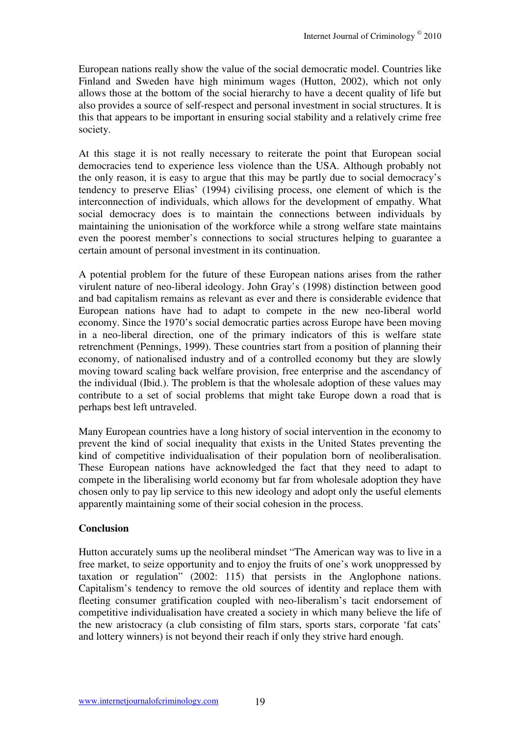European nations really show the value of the social democratic model. Countries like Finland and Sweden have high minimum wages (Hutton, 2002), which not only allows those at the bottom of the social hierarchy to have a decent quality of life but also provides a source of self-respect and personal investment in social structures. It is this that appears to be important in ensuring social stability and a relatively crime free society.

At this stage it is not really necessary to reiterate the point that European social democracies tend to experience less violence than the USA. Although probably not the only reason, it is easy to argue that this may be partly due to social democracy's tendency to preserve Elias' (1994) civilising process, one element of which is the interconnection of individuals, which allows for the development of empathy. What social democracy does is to maintain the connections between individuals by maintaining the unionisation of the workforce while a strong welfare state maintains even the poorest member's connections to social structures helping to guarantee a certain amount of personal investment in its continuation.

A potential problem for the future of these European nations arises from the rather virulent nature of neo-liberal ideology. John Gray's (1998) distinction between good and bad capitalism remains as relevant as ever and there is considerable evidence that European nations have had to adapt to compete in the new neo-liberal world economy. Since the 1970's social democratic parties across Europe have been moving in a neo-liberal direction, one of the primary indicators of this is welfare state retrenchment (Pennings, 1999). These countries start from a position of planning their economy, of nationalised industry and of a controlled economy but they are slowly moving toward scaling back welfare provision, free enterprise and the ascendancy of the individual (Ibid.). The problem is that the wholesale adoption of these values may contribute to a set of social problems that might take Europe down a road that is perhaps best left untraveled.

Many European countries have a long history of social intervention in the economy to prevent the kind of social inequality that exists in the United States preventing the kind of competitive individualisation of their population born of neoliberalisation. These European nations have acknowledged the fact that they need to adapt to compete in the liberalising world economy but far from wholesale adoption they have chosen only to pay lip service to this new ideology and adopt only the useful elements apparently maintaining some of their social cohesion in the process.

# **Conclusion**

Hutton accurately sums up the neoliberal mindset "The American way was to live in a free market, to seize opportunity and to enjoy the fruits of one's work unoppressed by taxation or regulation" (2002: 115) that persists in the Anglophone nations. Capitalism's tendency to remove the old sources of identity and replace them with fleeting consumer gratification coupled with neo-liberalism's tacit endorsement of competitive individualisation have created a society in which many believe the life of the new aristocracy (a club consisting of film stars, sports stars, corporate 'fat cats' and lottery winners) is not beyond their reach if only they strive hard enough.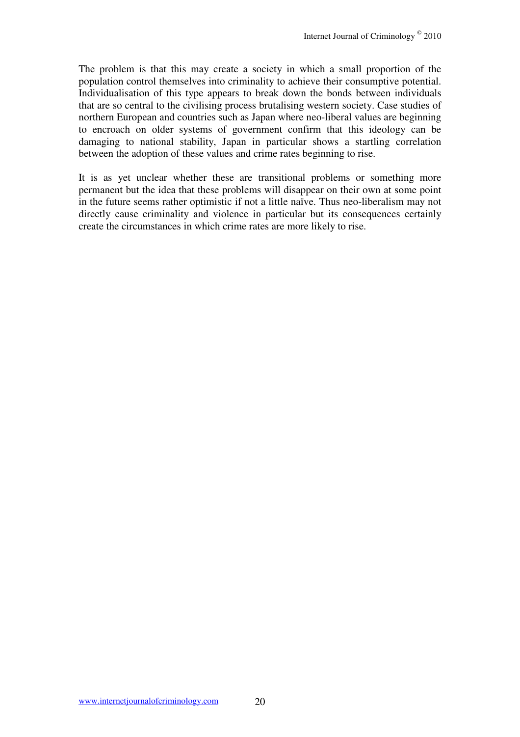The problem is that this may create a society in which a small proportion of the population control themselves into criminality to achieve their consumptive potential. Individualisation of this type appears to break down the bonds between individuals that are so central to the civilising process brutalising western society. Case studies of northern European and countries such as Japan where neo-liberal values are beginning to encroach on older systems of government confirm that this ideology can be damaging to national stability, Japan in particular shows a startling correlation between the adoption of these values and crime rates beginning to rise.

It is as yet unclear whether these are transitional problems or something more permanent but the idea that these problems will disappear on their own at some point in the future seems rather optimistic if not a little naïve. Thus neo-liberalism may not directly cause criminality and violence in particular but its consequences certainly create the circumstances in which crime rates are more likely to rise.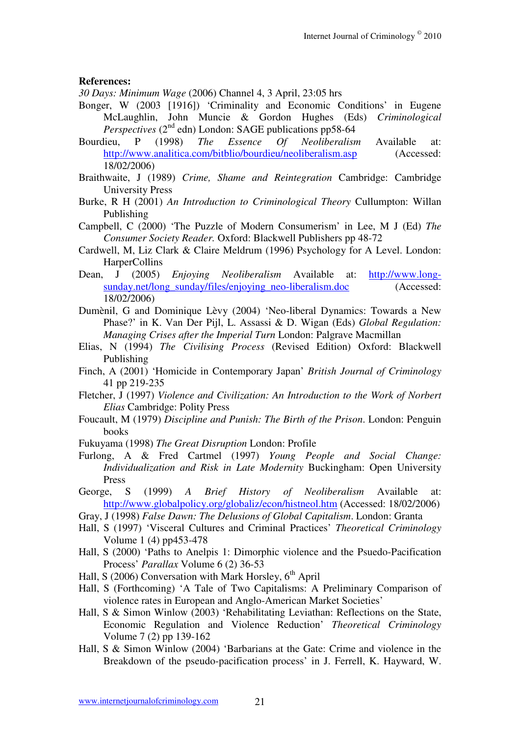#### **References:**

*30 Days: Minimum Wage* (2006) Channel 4, 3 April, 23:05 hrs

- Bonger, W (2003 [1916]) 'Criminality and Economic Conditions' in Eugene McLaughlin, John Muncie & Gordon Hughes (Eds) *Criminological Perspectives* ( $2^{nd}$  edn) London: SAGE publications pp58-64
- Bourdieu, P (1998) *The Essence Of Neoliberalism* Available at: http://www.analitica.com/bitblio/bourdieu/neoliberalism.asp (Accessed: 18/02/2006)
- Braithwaite, J (1989) *Crime, Shame and Reintegration* Cambridge: Cambridge University Press
- Burke, R H (2001) *An Introduction to Criminological Theory* Cullumpton: Willan Publishing
- Campbell, C (2000) 'The Puzzle of Modern Consumerism' in Lee, M J (Ed) *The Consumer Society Reader.* Oxford: Blackwell Publishers pp 48-72
- Cardwell, M, Liz Clark & Claire Meldrum (1996) Psychology for A Level. London: HarperCollins
- Dean, J (2005) *Enjoying Neoliberalism* Available at: http://www.longsunday.net/long\_sunday/files/enjoying\_neo-liberalism.doc (Accessed: 18/02/2006)
- Dumènil, G and Dominique Lèvy (2004) 'Neo-liberal Dynamics: Towards a New Phase?' in K. Van Der Pijl, L. Assassi & D. Wigan (Eds) *Global Regulation: Managing Crises after the Imperial Turn* London: Palgrave Macmillan
- Elias, N (1994) *The Civilising Process* (Revised Edition) Oxford: Blackwell Publishing
- Finch, A (2001) 'Homicide in Contemporary Japan' *British Journal of Criminology* 41 pp 219-235
- Fletcher, J (1997) *Violence and Civilization: An Introduction to the Work of Norbert Elias* Cambridge: Polity Press
- Foucault, M (1979) *Discipline and Punish: The Birth of the Prison*. London: Penguin books
- Fukuyama (1998) *The Great Disruption* London: Profile
- Furlong, A & Fred Cartmel (1997) *Young People and Social Change: Individualization and Risk in Late Modernity* Buckingham: Open University Press
- George, S (1999) *A Brief History of Neoliberalism* Available at: http://www.globalpolicy.org/globaliz/econ/histneol.htm (Accessed: 18/02/2006)
- Gray, J (1998) *False Dawn: The Delusions of Global Capitalism*. London: Granta
- Hall, S (1997) 'Visceral Cultures and Criminal Practices' *Theoretical Criminology* Volume 1 (4) pp453-478
- Hall, S (2000) 'Paths to Anelpis 1: Dimorphic violence and the Psuedo-Pacification Process' *Parallax* Volume 6 (2) 36-53
- Hall, S (2006) Conversation with Mark Horsley,  $6<sup>th</sup>$  April
- Hall, S (Forthcoming) 'A Tale of Two Capitalisms: A Preliminary Comparison of violence rates in European and Anglo-American Market Societies'
- Hall, S & Simon Winlow (2003) 'Rehabilitating Leviathan: Reflections on the State, Economic Regulation and Violence Reduction' *Theoretical Criminology*  Volume 7 (2) pp 139-162
- Hall, S & Simon Winlow (2004) 'Barbarians at the Gate: Crime and violence in the Breakdown of the pseudo-pacification process' in J. Ferrell, K. Hayward, W.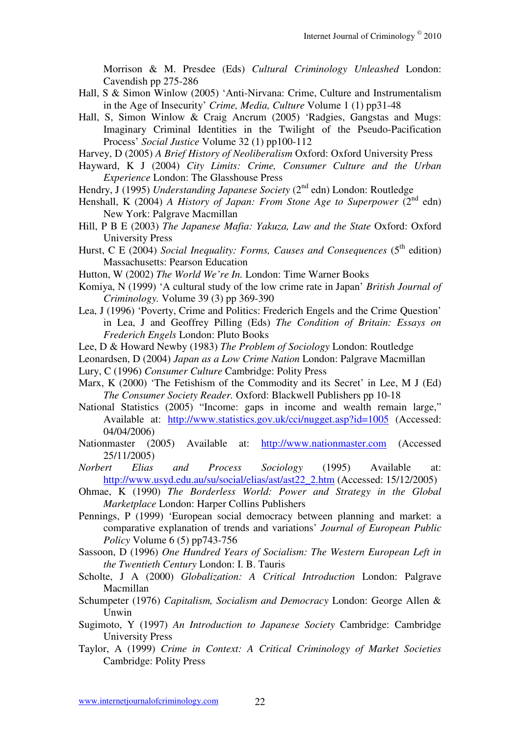Morrison & M. Presdee (Eds) *Cultural Criminology Unleashed* London: Cavendish pp 275-286

- Hall, S & Simon Winlow (2005) 'Anti-Nirvana: Crime, Culture and Instrumentalism in the Age of Insecurity' *Crime, Media, Culture* Volume 1 (1) pp31-48
- Hall, S, Simon Winlow & Craig Ancrum (2005) 'Radgies, Gangstas and Mugs: Imaginary Criminal Identities in the Twilight of the Pseudo-Pacification Process' *Social Justice* Volume 32 (1) pp100-112

Harvey, D (2005) *A Brief History of Neoliberalism* Oxford: Oxford University Press

- Hayward, K J (2004) *City Limits: Crime, Consumer Culture and the Urban Experience* London: The Glasshouse Press
- Hendry, J (1995) *Understanding Japanese Society* (2<sup>nd</sup> edn) London: Routledge
- Henshall, K (2004) *A History of Japan: From Stone Age to Superpower* (2<sup>nd</sup> edn) New York: Palgrave Macmillan
- Hill, P B E (2003) *The Japanese Mafia: Yakuza, Law and the State* Oxford: Oxford University Press
- Hurst, C E (2004) *Social Inequality: Forms, Causes and Consequences* (5<sup>th</sup> edition) Massachusetts: Pearson Education
- Hutton, W (2002) *The World We're In.* London: Time Warner Books
- Komiya, N (1999) 'A cultural study of the low crime rate in Japan' *British Journal of Criminology.* Volume 39 (3) pp 369-390
- Lea, J (1996) 'Poverty, Crime and Politics: Frederich Engels and the Crime Question' in Lea, J and Geoffrey Pilling (Eds) *The Condition of Britain: Essays on Frederich Engels* London: Pluto Books
- Lee, D & Howard Newby (1983) *The Problem of Sociology* London: Routledge
- Leonardsen, D (2004) *Japan as a Low Crime Nation* London: Palgrave Macmillan
- Lury, C (1996) *Consumer Culture* Cambridge: Polity Press
- Marx, K (2000) 'The Fetishism of the Commodity and its Secret' in Lee, M J (Ed) *The Consumer Society Reader.* Oxford: Blackwell Publishers pp 10-18
- National Statistics (2005) "Income: gaps in income and wealth remain large," Available at: http://www.statistics.gov.uk/cci/nugget.asp?id=1005 (Accessed: 04/04/2006)
- Nationmaster (2005) Available at: http://www.nationmaster.com (Accessed 25/11/2005)
- *Norbert Elias and Process Sociology* (1995) Available at: http://www.usyd.edu.au/su/social/elias/ast/ast22\_2.htm (Accessed: 15/12/2005)
- Ohmae, K (1990) *The Borderless World: Power and Strategy in the Global Marketplace* London: Harper Collins Publishers
- Pennings, P (1999) 'European social democracy between planning and market: a comparative explanation of trends and variations' *Journal of European Public Policy* Volume 6 (5) pp743-756
- Sassoon, D (1996) *One Hundred Years of Socialism: The Western European Left in the Twentieth Century* London: I. B. Tauris
- Scholte, J A (2000) *Globalization: A Critical Introduction* London: Palgrave Macmillan
- Schumpeter (1976) *Capitalism, Socialism and Democracy* London: George Allen & Unwin
- Sugimoto, Y (1997) *An Introduction to Japanese Society* Cambridge: Cambridge University Press
- Taylor, A (1999) *Crime in Context: A Critical Criminology of Market Societies* Cambridge: Polity Press